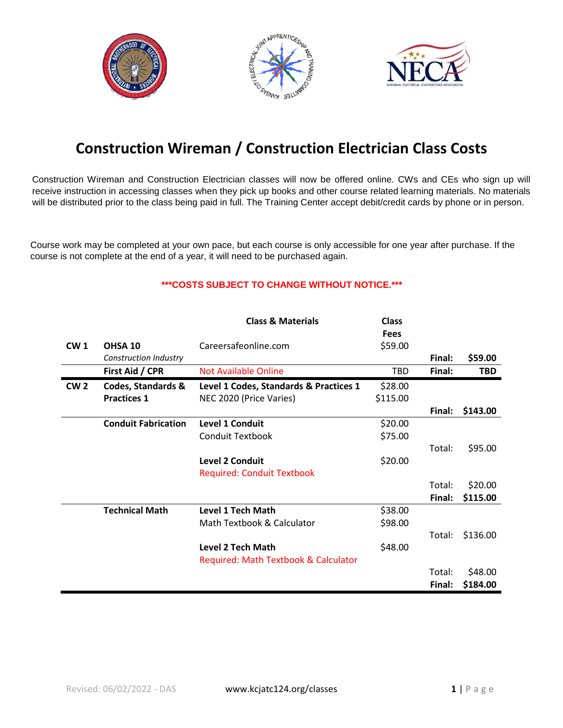





## **Construction Wireman / Construction Electrician Class Costs**

Construction Wireman and Construction Electrician classes will now be offered online. CWs and CEs who sign up will receive instruction in accessing classes when they pick up books and other course related learning materials. No materials will be distributed prior to the class being paid in full. The Training Center accept debit/credit cards by phone or in person.

Course work may be completed at your own pace, but each course is only accessible for one year after purchase. If the course is not complete at the end of a year, it will need to be purchased again.

## **\*\*\*COSTS SUBJECT TO CHANGE WITHOUT NOTICE.\*\*\***

|                 |                            | <b>Class &amp; Materials</b>           | <b>Class</b> |        |            |
|-----------------|----------------------------|----------------------------------------|--------------|--------|------------|
|                 |                            |                                        | <b>Fees</b>  |        |            |
| CW <sub>1</sub> | OHSA 10                    | Careersafeonline.com                   | \$59.00      |        |            |
|                 | Construction Industry      |                                        |              | Final: | \$59.00    |
|                 | First Aid / CPR            | <b>Not Available Online</b>            | <b>TBD</b>   | Final: | <b>TBD</b> |
| CW <sub>2</sub> | Codes, Standards &         | Level 1 Codes, Standards & Practices 1 | \$28.00      |        |            |
|                 | <b>Practices 1</b>         | NEC 2020 (Price Varies)                | \$115.00     |        |            |
|                 |                            |                                        |              | Final: | \$143.00   |
|                 | <b>Conduit Fabrication</b> | <b>Level 1 Conduit</b>                 | \$20.00      |        |            |
|                 |                            | <b>Conduit Textbook</b>                | \$75.00      |        |            |
|                 |                            |                                        |              | Total: | \$95.00    |
|                 |                            | <b>Level 2 Conduit</b>                 | \$20.00      |        |            |
|                 |                            | <b>Required: Conduit Textbook</b>      |              |        |            |
|                 |                            |                                        |              | Total: | \$20.00    |
|                 |                            |                                        |              | Final: | \$115.00   |
|                 | <b>Technical Math</b>      | <b>Level 1 Tech Math</b>               | \$38.00      |        |            |
|                 |                            | Math Textbook & Calculator             | \$98.00      |        |            |
|                 |                            |                                        |              | Total: | \$136.00   |
|                 |                            | <b>Level 2 Tech Math</b>               | \$48.00      |        |            |
|                 |                            | Required: Math Textbook & Calculator   |              |        |            |
|                 |                            |                                        |              | Total: | \$48.00    |
|                 |                            |                                        |              | Final: | \$184.00   |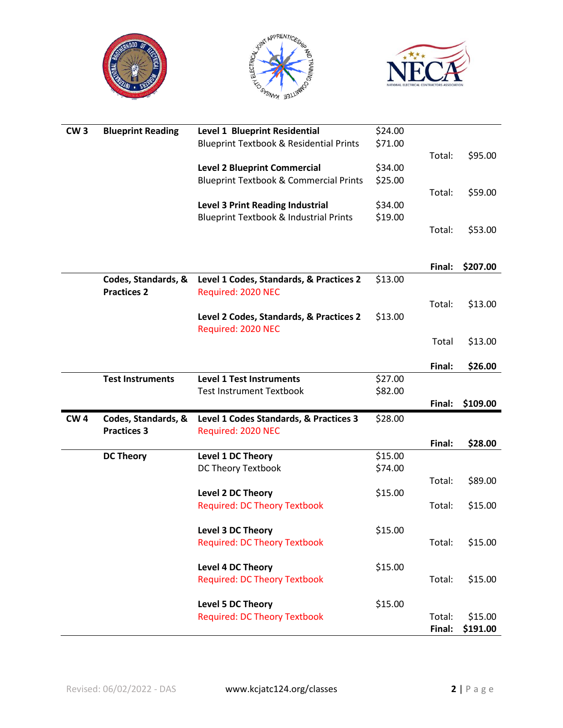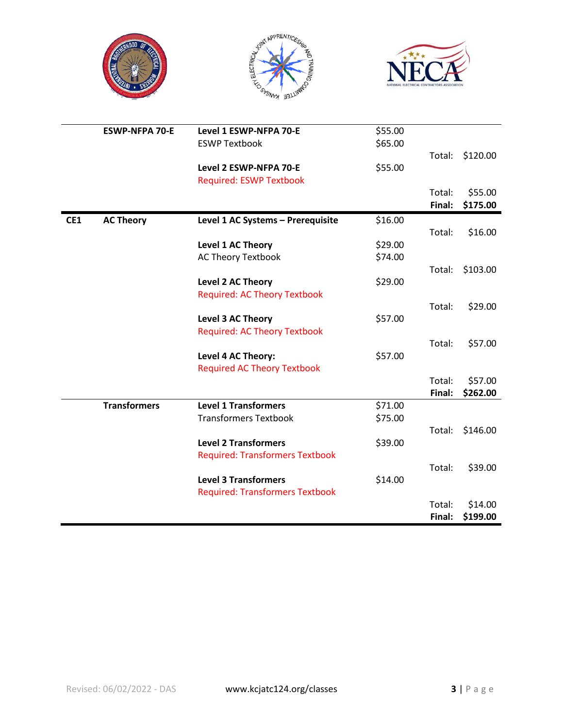





|     | <b>ESWP-NFPA 70-E</b> | Level 1 ESWP-NFPA 70-E                 | \$55.00 |        |          |
|-----|-----------------------|----------------------------------------|---------|--------|----------|
|     |                       | <b>ESWP Textbook</b>                   | \$65.00 |        |          |
|     |                       |                                        |         | Total: | \$120.00 |
|     |                       | Level 2 ESWP-NFPA 70-E                 | \$55.00 |        |          |
|     |                       | <b>Required: ESWP Textbook</b>         |         |        |          |
|     |                       |                                        |         | Total: | \$55.00  |
|     |                       |                                        |         | Final: | \$175.00 |
| CE1 | <b>AC Theory</b>      | Level 1 AC Systems - Prerequisite      | \$16.00 |        |          |
|     |                       |                                        |         | Total: | \$16.00  |
|     |                       | Level 1 AC Theory                      | \$29.00 |        |          |
|     |                       | <b>AC Theory Textbook</b>              | \$74.00 |        |          |
|     |                       |                                        |         | Total: | \$103.00 |
|     |                       | <b>Level 2 AC Theory</b>               | \$29.00 |        |          |
|     |                       | <b>Required: AC Theory Textbook</b>    |         |        |          |
|     |                       |                                        |         | Total: | \$29.00  |
|     |                       | <b>Level 3 AC Theory</b>               | \$57.00 |        |          |
|     |                       | <b>Required: AC Theory Textbook</b>    |         |        |          |
|     |                       |                                        |         | Total: | \$57.00  |
|     |                       | Level 4 AC Theory:                     | \$57.00 |        |          |
|     |                       | <b>Required AC Theory Textbook</b>     |         |        |          |
|     |                       |                                        |         | Total: | \$57.00  |
|     |                       |                                        |         | Final: | \$262.00 |
|     | <b>Transformers</b>   | <b>Level 1 Transformers</b>            | \$71.00 |        |          |
|     |                       | <b>Transformers Textbook</b>           | \$75.00 |        |          |
|     |                       |                                        |         | Total: | \$146.00 |
|     |                       | <b>Level 2 Transformers</b>            | \$39.00 |        |          |
|     |                       | <b>Required: Transformers Textbook</b> |         |        |          |
|     |                       |                                        |         | Total: | \$39.00  |
|     |                       | <b>Level 3 Transformers</b>            | \$14.00 |        |          |
|     |                       | <b>Required: Transformers Textbook</b> |         |        |          |
|     |                       |                                        |         | Total: | \$14.00  |
|     |                       |                                        |         | Final: | \$199.00 |